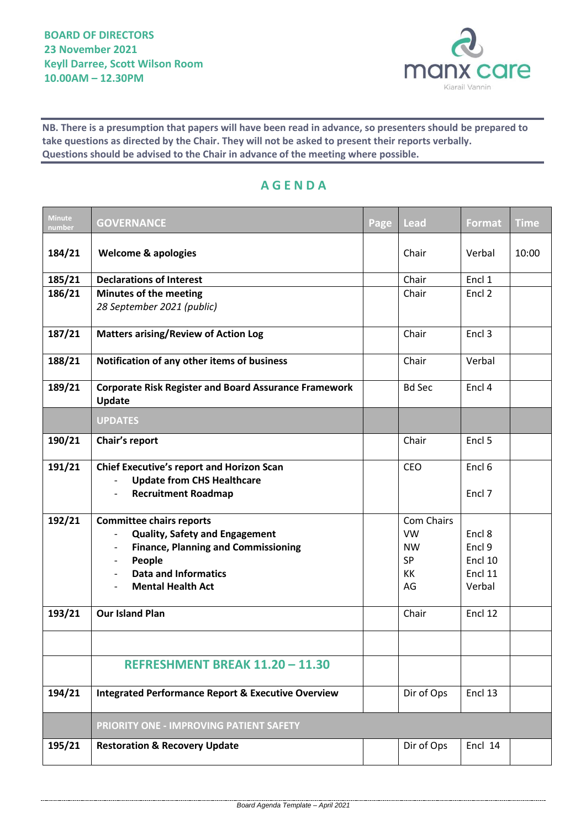

**NB. There is a presumption that papers will have been read in advance, so presenters should be prepared to take questions as directed by the Chair. They will not be asked to present their reports verbally. Questions should be advised to the Chair in advance of the meeting where possible.**

## **A G E N D A**

| <b>Minute</b><br>number | <b>GOVERNANCE</b>                                                                                                                                                                                                       | Page | <b>Lead</b>                                                   | Format                                           | <b>Time</b> |
|-------------------------|-------------------------------------------------------------------------------------------------------------------------------------------------------------------------------------------------------------------------|------|---------------------------------------------------------------|--------------------------------------------------|-------------|
| 184/21                  | <b>Welcome &amp; apologies</b>                                                                                                                                                                                          |      | Chair                                                         | Verbal                                           | 10:00       |
| 185/21                  | <b>Declarations of Interest</b>                                                                                                                                                                                         |      | Chair                                                         | Encl 1                                           |             |
| 186/21                  | <b>Minutes of the meeting</b>                                                                                                                                                                                           |      | Chair                                                         | Encl 2                                           |             |
|                         | 28 September 2021 (public)                                                                                                                                                                                              |      |                                                               |                                                  |             |
| 187/21                  | <b>Matters arising/Review of Action Log</b>                                                                                                                                                                             |      | Chair                                                         | Encl <sub>3</sub>                                |             |
| 188/21                  | Notification of any other items of business                                                                                                                                                                             |      | Chair                                                         | Verbal                                           |             |
| 189/21                  | <b>Corporate Risk Register and Board Assurance Framework</b><br>Update                                                                                                                                                  |      | <b>Bd Sec</b>                                                 | Encl 4                                           |             |
|                         | <b>UPDATES</b>                                                                                                                                                                                                          |      |                                                               |                                                  |             |
| 190/21                  | Chair's report                                                                                                                                                                                                          |      | Chair                                                         | Encl 5                                           |             |
| 191/21                  | <b>Chief Executive's report and Horizon Scan</b><br><b>Update from CHS Healthcare</b><br><b>Recruitment Roadmap</b>                                                                                                     |      | CEO                                                           | Encl <sub>6</sub><br>Encl 7                      |             |
| 192/21                  | <b>Committee chairs reports</b><br><b>Quality, Safety and Engagement</b><br><b>Finance, Planning and Commissioning</b><br>People<br>$\overline{\phantom{a}}$<br><b>Data and Informatics</b><br><b>Mental Health Act</b> |      | Com Chairs<br><b>VW</b><br><b>NW</b><br><b>SP</b><br>КK<br>AG | Encl 8<br>Encl 9<br>Encl 10<br>Encl 11<br>Verbal |             |
| 193/21                  | <b>Our Island Plan</b>                                                                                                                                                                                                  |      | Chair                                                         | Encl 12                                          |             |
|                         |                                                                                                                                                                                                                         |      |                                                               |                                                  |             |
|                         | REFRESHMENT BREAK 11.20 - 11.30                                                                                                                                                                                         |      |                                                               |                                                  |             |
| 194/21                  | <b>Integrated Performance Report &amp; Executive Overview</b>                                                                                                                                                           |      | Dir of Ops                                                    | Encl 13                                          |             |
|                         | PRIORITY ONE - IMPROVING PATIENT SAFETY                                                                                                                                                                                 |      |                                                               |                                                  |             |
| 195/21                  | <b>Restoration &amp; Recovery Update</b>                                                                                                                                                                                |      | Dir of Ops                                                    | Encl 14                                          |             |